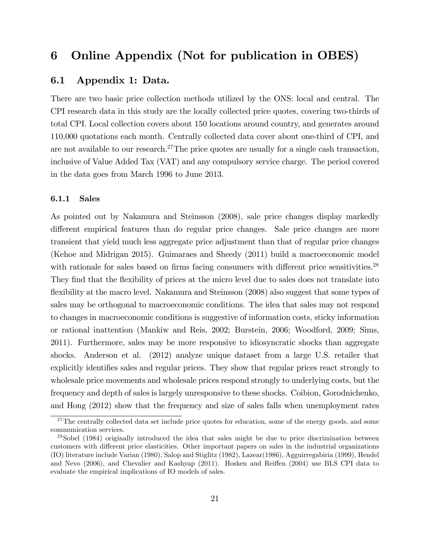## 6 Online Appendix (Not for publication in OBES)

### 6.1 Appendix 1: Data.

There are two basic price collection methods utilized by the ONS: local and central. The CPI research data in this study are the locally collected price quotes, covering two-thirds of total CPI. Local collection covers about 150 locations around country, and generates around 110,000 quotations each month. Centrally collected data cover about one-third of CPI, and are not available to our research.<sup>27</sup>The price quotes are usually for a single cash transaction, inclusive of Value Added Tax (VAT) and any compulsory service charge. The period covered in the data goes from March 1996 to June 2013.

### 6.1.1 Sales

As pointed out by Nakamura and Steinsson (2008), sale price changes display markedly different empirical features than do regular price changes. Sale price changes are more transient that yield much less aggregate price adjustment than that of regular price changes (Kehoe and Midrigan 2015). Guimaraes and Sheedy (2011) build a macroeconomic model with rationale for sales based on firms facing consumers with different price sensitivities. $^{28}$ They find that the flexibility of prices at the micro level due to sales does not translate into flexibility at the macro level. Nakamura and Steinsson (2008) also suggest that some types of sales may be orthogonal to macroeconomic conditions. The idea that sales may not respond to changes in macroeconomic conditions is suggestive of information costs, sticky information or rational inattention (Mankiw and Reis, 2002; Burstein, 2006; Woodford, 2009; Sims, 2011). Furthermore, sales may be more responsive to idiosyncratic shocks than aggregate shocks. Anderson et al. (2012) analyze unique dataset from a large U.S. retailer that explicitly identifies sales and regular prices. They show that regular prices react strongly to wholesale price movements and wholesale prices respond strongly to underlying costs, but the frequency and depth of sales is largely unresponsive to these shocks. Coibion, Gorodnichenko, and Hong (2012) show that the frequency and size of sales falls when unemployment rates

 $27$ The centrally collected data set include price quotes for education, some of the energy goods, and some communication services.

<sup>&</sup>lt;sup>28</sup>Sobel (1984) originally introduced the idea that sales might be due to price discrimination between customers with different price elasticities. Other important papers on sales in the industrial organizations (IO) literature include Varian (1980), Salop and Stiglitz (1982), Lazear(1986), Agguirregabiria (1999), Hendel and Nevo (2006), and Chevalier and Kashyap (2011). Hosken and Reiffen (2004) use BLS CPI data to evaluate the empirical implications of IO models of sales.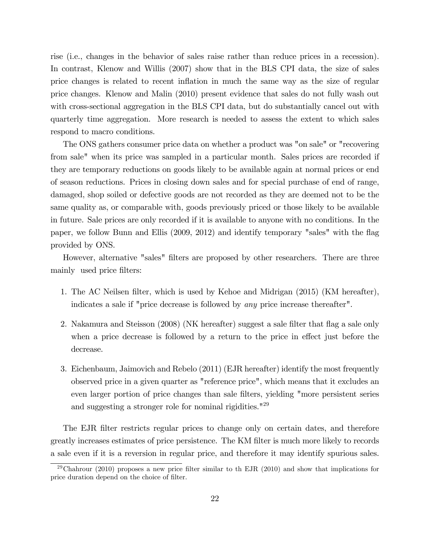rise (i.e., changes in the behavior of sales raise rather than reduce prices in a recession). In contrast, Klenow and Willis (2007) show that in the BLS CPI data, the size of sales price changes is related to recent ináation in much the same way as the size of regular price changes. Klenow and Malin (2010) present evidence that sales do not fully wash out with cross-sectional aggregation in the BLS CPI data, but do substantially cancel out with quarterly time aggregation. More research is needed to assess the extent to which sales respond to macro conditions.

The ONS gathers consumer price data on whether a product was "on sale" or "recovering from sale" when its price was sampled in a particular month. Sales prices are recorded if they are temporary reductions on goods likely to be available again at normal prices or end of season reductions. Prices in closing down sales and for special purchase of end of range, damaged, shop soiled or defective goods are not recorded as they are deemed not to be the same quality as, or comparable with, goods previously priced or those likely to be available in future. Sale prices are only recorded if it is available to anyone with no conditions. In the paper, we follow Bunn and Ellis (2009, 2012) and identify temporary "sales" with the flag provided by ONS.

However, alternative "sales" filters are proposed by other researchers. There are three mainly used price filters:

- 1. The AC Neilsen filter, which is used by Kehoe and Midrigan (2015) (KM hereafter), indicates a sale if "price decrease is followed by any price increase thereafter".
- 2. Nakamura and Steisson (2008) (NK hereafter) suggest a sale filter that flag a sale only when a price decrease is followed by a return to the price in effect just before the decrease.
- 3. Eichenbaum, Jaimovich and Rebelo (2011) (EJR hereafter) identify the most frequently observed price in a given quarter as "reference price", which means that it excludes an even larger portion of price changes than sale filters, yielding "more persistent series and suggesting a stronger role for nominal rigidities."<sup>29</sup>

The EJR filter restricts regular prices to change only on certain dates, and therefore greatly increases estimates of price persistence. The KM filter is much more likely to records a sale even if it is a reversion in regular price, and therefore it may identify spurious sales.

<sup>&</sup>lt;sup>29</sup>Chahrour (2010) proposes a new price filter similar to the EJR (2010) and show that implications for price duration depend on the choice of filter.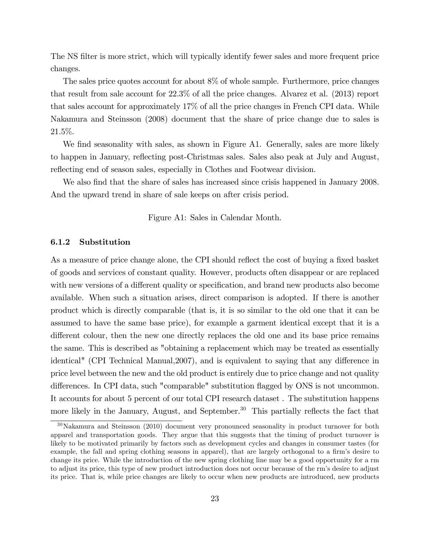The NS filter is more strict, which will typically identify fewer sales and more frequent price changes.

The sales price quotes account for about 8% of whole sample. Furthermore, price changes that result from sale account for 22.3% of all the price changes. Alvarez et al. (2013) report that sales account for approximately 17% of all the price changes in French CPI data. While Nakamura and Steinsson (2008) document that the share of price change due to sales is 21.5%.

We find seasonality with sales, as shown in Figure A1. Generally, sales are more likely to happen in January, reflecting post-Christmas sales. Sales also peak at July and August, reflecting end of season sales, especially in Clothes and Footwear division.

We also find that the share of sales has increased since crisis happened in January 2008. And the upward trend in share of sale keeps on after crisis period.

Figure A1: Sales in Calendar Month.

#### 6.1.2 Substitution

As a measure of price change alone, the CPI should reflect the cost of buying a fixed basket of goods and services of constant quality. However, products often disappear or are replaced with new versions of a different quality or specification, and brand new products also become available. When such a situation arises, direct comparison is adopted. If there is another product which is directly comparable (that is, it is so similar to the old one that it can be assumed to have the same base price), for example a garment identical except that it is a different colour, then the new one directly replaces the old one and its base price remains the same. This is described as "obtaining a replacement which may be treated as essentially identical" (CPI Technical Manual, 2007), and is equivalent to saying that any difference in price level between the new and the old product is entirely due to price change and not quality differences. In CPI data, such "comparable" substitution flagged by ONS is not uncommon. It accounts for about 5 percent of our total CPI research dataset . The substitution happens more likely in the January, August, and September.<sup>30</sup> This partially reflects the fact that

 $30\text{Nakamura}$  and Steinsson (2010) document very pronounced seasonality in product turnover for both apparel and transportation goods. They argue that this suggests that the timing of product turnover is likely to be motivated primarily by factors such as development cycles and changes in consumer tastes (for example, the fall and spring clothing seasons in apparel), that are largely orthogonal to a firm's desire to change its price. While the introduction of the new spring clothing line may be a good opportunity for a rm to adjust its price, this type of new product introduction does not occur because of the rmís desire to adjust its price. That is, while price changes are likely to occur when new products are introduced, new products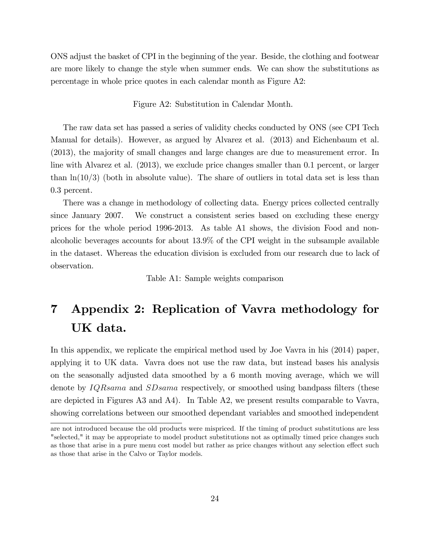ONS adjust the basket of CPI in the beginning of the year. Beside, the clothing and footwear are more likely to change the style when summer ends. We can show the substitutions as percentage in whole price quotes in each calendar month as Figure A2:

Figure A2: Substitution in Calendar Month.

The raw data set has passed a series of validity checks conducted by ONS (see CPI Tech Manual for details). However, as argued by Alvarez et al. (2013) and Eichenbaum et al. (2013), the majority of small changes and large changes are due to measurement error. In line with Alvarez et al. (2013), we exclude price changes smaller than 0.1 percent, or larger than  $\ln(10/3)$  (both in absolute value). The share of outliers in total data set is less than 0.3 percent.

There was a change in methodology of collecting data. Energy prices collected centrally since January 2007. We construct a consistent series based on excluding these energy prices for the whole period 1996-2013. As table A1 shows, the division Food and nonalcoholic beverages accounts for about 13.9% of the CPI weight in the subsample available in the dataset. Whereas the education division is excluded from our research due to lack of observation.

Table A1: Sample weights comparison

# 7 Appendix 2: Replication of Vavra methodology for UK data.

In this appendix, we replicate the empirical method used by Joe Vavra in his (2014) paper, applying it to UK data. Vavra does not use the raw data, but instead bases his analysis on the seasonally adjusted data smoothed by a 6 month moving average, which we will denote by *IQRsama* and *SDsama* respectively, or smoothed using bandpass filters (these are depicted in Figures A3 and A4). In Table A2, we present results comparable to Vavra, showing correlations between our smoothed dependant variables and smoothed independent

are not introduced because the old products were mispriced. If the timing of product substitutions are less "selected," it may be appropriate to model product substitutions not as optimally timed price changes such as those that arise in a pure menu cost model but rather as price changes without any selection effect such as those that arise in the Calvo or Taylor models.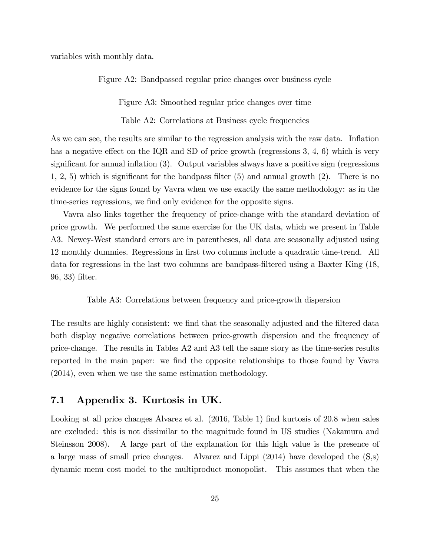variables with monthly data.

Figure A2: Bandpassed regular price changes over business cycle

Figure A3: Smoothed regular price changes over time

Table A2: Correlations at Business cycle frequencies

As we can see, the results are similar to the regression analysis with the raw data. Inflation has a negative effect on the IQR and SD of price growth (regressions  $3, 4, 6$ ) which is very significant for annual inflation  $(3)$ . Output variables always have a positive sign (regressions  $1, 2, 5$ ) which is significant for the bandpass filter (5) and annual growth (2). There is no evidence for the signs found by Vavra when we use exactly the same methodology: as in the time-series regressions, we find only evidence for the opposite signs.

Vavra also links together the frequency of price-change with the standard deviation of price growth. We performed the same exercise for the UK data, which we present in Table A3. Newey-West standard errors are in parentheses, all data are seasonally adjusted using 12 monthly dummies. Regressions in Örst two columns include a quadratic time-trend. All data for regressions in the last two columns are bandpass-Öltered using a Baxter King (18, 96, 33) filter.

Table A3: Correlations between frequency and price-growth dispersion

The results are highly consistent: we find that the seasonally adjusted and the filtered data both display negative correlations between price-growth dispersion and the frequency of price-change. The results in Tables A2 and A3 tell the same story as the time-series results reported in the main paper: we find the opposite relationships to those found by Vavra (2014), even when we use the same estimation methodology.

### 7.1 Appendix 3. Kurtosis in UK.

Looking at all price changes Alvarez et al. (2016, Table 1) find kurtosis of 20.8 when sales are excluded: this is not dissimilar to the magnitude found in US studies (Nakamura and Steinsson 2008). A large part of the explanation for this high value is the presence of a large mass of small price changes. Alvarez and Lippi (2014) have developed the (S,s) dynamic menu cost model to the multiproduct monopolist. This assumes that when the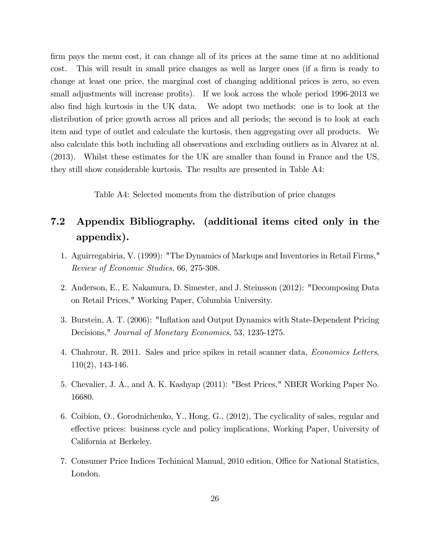firm pays the menu cost, it can change all of its prices at the same time at no additional cost. This will result in small price changes as well as larger ones (if a firm is ready to change at least one price, the marginal cost of changing additional prices is zero, so even small adjustments will increase profits). If we look across the whole period 1996-2013 we also find high kurtosis in the UK data. We adopt two methods: one is to look at the distribution of price growth across all prices and all periods; the second is to look at each item and type of outlet and calculate the kurtosis, then aggregating over all products. We also calculate this both including all observations and excluding outliers as in Alvarez at al. (2013). Whilst these estimates for the UK are smaller than found in France and the US, they still show considerable kurtosis. The results are presented in Table A4:

Table A4: Selected moments from the distribution of price changes

# 7.2 Appendix Bibliography. (additional items cited only in the appendix).

- 1. Aguirregabiria, V. (1999): "The Dynamics of Markups and Inventories in Retail Firms," Review of Economic Studies, 66, 275-308.
- 2. Anderson, E., E. Nakamura, D. Simester, and J. Steinsson (2012): "Decomposing Data on Retail Prices," Working Paper, Columbia University.
- 3. Burstein, A. T. (2006): "Ináation and Output Dynamics with State-Dependent Pricing Decisions," Journal of Monetary Economics, 53, 1235-1275.
- 4. Chahrour, R. 2011. Sales and price spikes in retail scanner data, Economics Letters, 110(2), 143-146.
- 5. Chevalier, J. A., and A. K. Kashyap (2011): "Best Prices," NBER Working Paper No. 16680.
- 6. Coibion, O., Gorodnichenko, Y., Hong, G., (2012), The cyclicality of sales, regular and effective prices: business cycle and policy implications, Working Paper, University of California at Berkeley.
- 7. Consumer Price Indices Techinical Manual, 2010 edition, Office for National Statistics, London.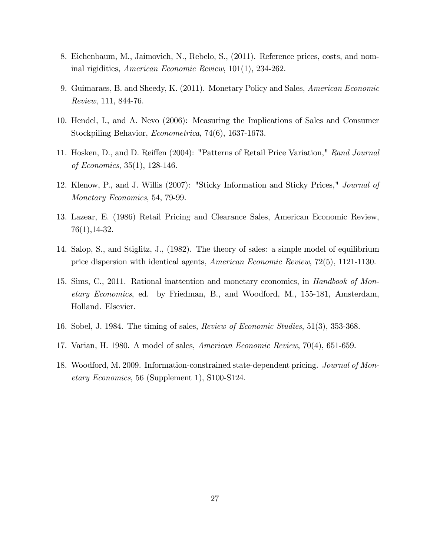- 8. Eichenbaum, M., Jaimovich, N., Rebelo, S., (2011). Reference prices, costs, and nominal rigidities, American Economic Review, 101(1), 234-262.
- 9. Guimaraes, B. and Sheedy, K. (2011). Monetary Policy and Sales, American Economic Review, 111, 844-76.
- 10. Hendel, I., and A. Nevo (2006): Measuring the Implications of Sales and Consumer Stockpiling Behavior, Econometrica, 74(6), 1637-1673.
- 11. Hosken, D., and D. Reiffen (2004): "Patterns of Retail Price Variation," Rand Journal of Economics, 35(1), 128-146.
- 12. Klenow, P., and J. Willis (2007): "Sticky Information and Sticky Prices," Journal of Monetary Economics, 54, 79-99.
- 13. Lazear, E. (1986) Retail Pricing and Clearance Sales, American Economic Review, 76(1),14-32.
- 14. Salop, S., and Stiglitz, J., (1982). The theory of sales: a simple model of equilibrium price dispersion with identical agents, American Economic Review, 72(5), 1121-1130.
- 15. Sims, C., 2011. Rational inattention and monetary economics, in Handbook of Monetary Economics, ed. by Friedman, B., and Woodford, M., 155-181, Amsterdam, Holland. Elsevier.
- 16. Sobel, J. 1984. The timing of sales, Review of Economic Studies, 51(3), 353-368.
- 17. Varian, H. 1980. A model of sales, American Economic Review, 70(4), 651-659.
- 18. Woodford, M. 2009. Information-constrained state-dependent pricing. Journal of Monetary Economics, 56 (Supplement 1), S100-S124.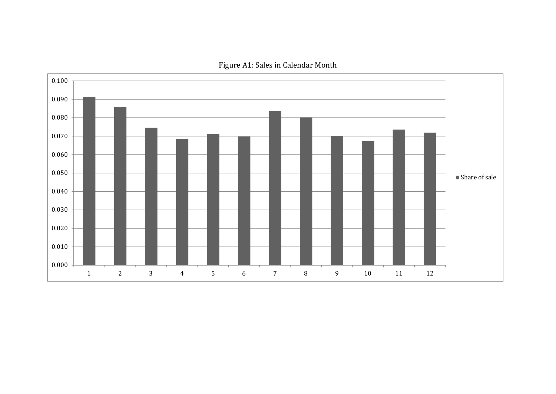

Figure A1: Sales in Calendar Month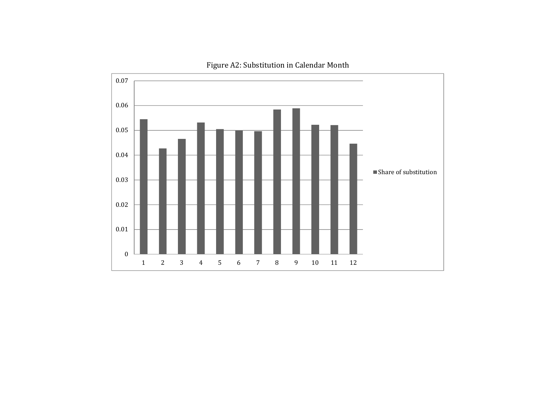

Figure A2: Substitution in Calendar Month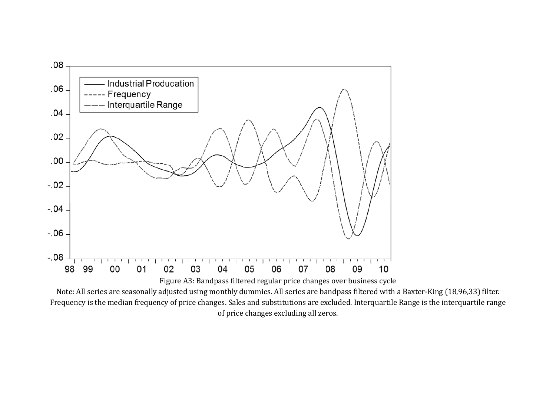

Note: All series are seasonally adjusted using monthly dummies. All series are bandpass filtered with a Baxter-King (18,96,33) filter. Frequency is the median frequency of price changes. Sales and substitutions are excluded. Interquartile Range is the interquartile range of price changes excluding all zeros.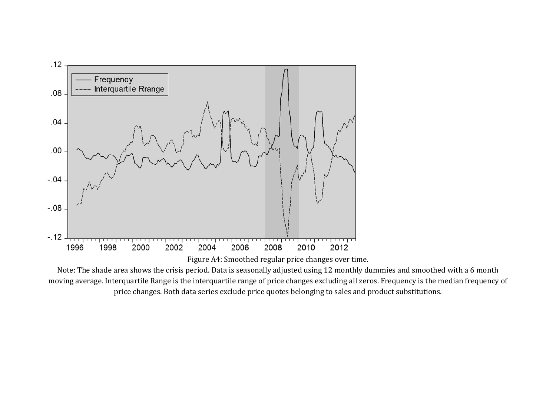

Note: The shade area shows the crisis period. Data is seasonally adjusted using 12 monthly dummies and smoothed with a 6 month moving average. Interquartile Range is the interquartile range of price changes excluding all zeros. Frequency is the median frequency of price changes. Both data series exclude price quotes belonging to sales and product substitutions.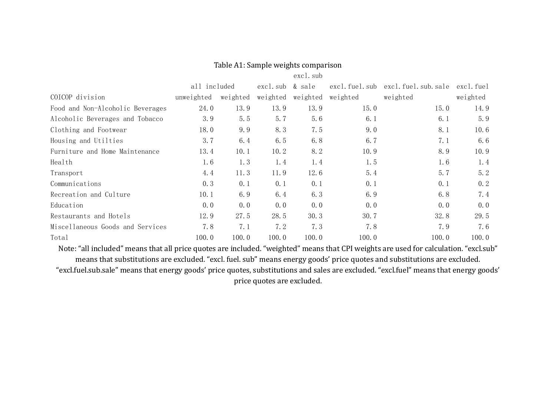|                                  |              |          |           | excl. sub |          |                                  |           |
|----------------------------------|--------------|----------|-----------|-----------|----------|----------------------------------|-----------|
|                                  | all included |          | excl. sub | & sale    |          | excl.fuel.sub excl.fuel.sub.sale | excl.fuel |
| COICOP division                  | unweighted   | weighted | weighted  | weighted  | weighted | weighted                         | weighted  |
| Food and Non-Alcoholic Beverages | 24.0         | 13.9     | 13.9      | 13.9      | 15.0     | 15.0                             | 14.9      |
| Alcoholic Beverages and Tobacco  | 3.9          | 5.5      | 5.7       | 5.6       | 6.1      | 6.1                              | 5.9       |
| Clothing and Footwear            | 18.0         | 9.9      | 8.3       | 7.5       | 9.0      | 8.1                              | 10.6      |
| Housing and Utilties             | 3.7          | 6.4      | 6.5       | 6.8       | 6.7      | 7.1                              | 6.6       |
| Furniture and Home Maintenance   | 13.4         | 10.1     | 10.2      | 8.2       | 10.9     | 8.9                              | 10.9      |
| Health                           | 1.6          | 1.3      | 1.4       | 1.4       | 1.5      | 1.6                              | 1.4       |
| Transport                        | 4.4          | 11.3     | 11.9      | 12.6      | 5.4      | 5.7                              | 5.2       |
| Communications                   | 0.3          | 0.1      | 0.1       | 0.1       | 0.1      | 0.1                              | 0.2       |
| Recreation and Culture           | 10.1         | 6.9      | 6.4       | 6.3       | 6.9      | 6.8                              | 7.4       |
| Education                        | 0.0          | 0.0      | 0.0       | 0.0       | 0.0      | 0.0                              | 0.0       |
| Restaurants and Hotels           | 12.9         | 27.5     | 28.5      | 30.3      | 30.7     | 32.8                             | 29.5      |
| Miscellaneous Goods and Services | 7.8          | 7.1      | 7.2       | 7.3       | 7.8      | 7.9                              | 7.6       |
| Total                            | 100.0        | 100.0    | 100.0     | 100.0     | 100.0    | 100.0                            | 100.0     |

### Table A1: Sample weights comparison

Note: "all included" means that all price quotes are included. "weighted" means that CPI weights are used for calculation. "excl.sub" means that substitutions are excluded. "excl. fuel. sub" means energy goods' price quotes and substitutions are excluded. "excl.fuel.sub.sale" means that energy goods' price quotes, substitutions and sales are excluded. "excl.fuel" means that energy goods' price quotes are excluded.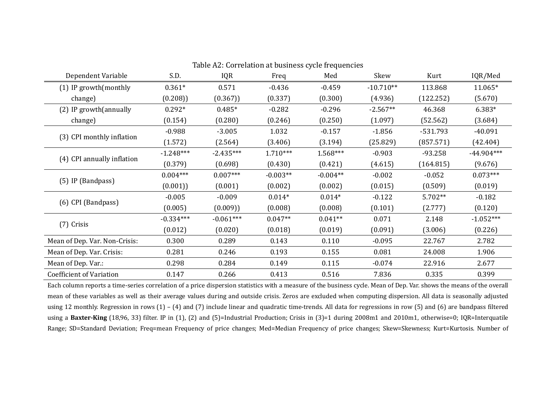| Table A2: Correlation at business cycle frequencies |             |             |            |            |             |            |              |  |
|-----------------------------------------------------|-------------|-------------|------------|------------|-------------|------------|--------------|--|
| Dependent Variable                                  | S.D.        | IQR         | Freq       | Med        | Skew        | Kurt       | IQR/Med      |  |
| (1) IP growth (monthly                              | $0.361*$    | 0.571       | $-0.436$   | $-0.459$   | $-10.710**$ | 113.868    | 11.065*      |  |
| change)                                             | (0.208)     | (0.367)     | (0.337)    | (0.300)    | (4.936)     | (122.252)  | (5.670)      |  |
| (2) IP growth (annually                             | $0.292*$    | $0.485*$    | $-0.282$   | $-0.296$   | $-2.567**$  | 46.368     | $6.383*$     |  |
| change)                                             | (0.154)     | (0.280)     | (0.246)    | (0.250)    | (1.097)     | (52.562)   | (3.684)      |  |
| (3) CPI monthly inflation                           | $-0.988$    | $-3.005$    | 1.032      | $-0.157$   | $-1.856$    | $-531.793$ | $-40.091$    |  |
|                                                     | (1.572)     | (2.564)     | (3.406)    | (3.194)    | (25.829)    | (857.571)  | (42.404)     |  |
| (4) CPI annually inflation                          | $-1.248***$ | $-2.435***$ | $1.710***$ | $1.568***$ | $-0.903$    | $-93.258$  | $-44.904***$ |  |
|                                                     | (0.379)     | (0.698)     | (0.430)    | (0.421)    | (4.615)     | (164.815)  | (9.676)      |  |
| (5) IP (Bandpass)                                   | $0.004***$  | $0.007***$  | $-0.003**$ | $-0.004**$ | $-0.002$    | $-0.052$   | $0.073***$   |  |
|                                                     | (0.001)     | (0.001)     | (0.002)    | (0.002)    | (0.015)     | (0.509)    | (0.019)      |  |
| (6) CPI (Bandpass)                                  | $-0.005$    | $-0.009$    | $0.014*$   | $0.014*$   | $-0.122$    | 5.702**    | $-0.182$     |  |
|                                                     | (0.005)     | (0.009)     | (0.008)    | (0.008)    | (0.101)     | (2.777)    | (0.120)      |  |
| $(7)$ Crisis                                        | $-0.334***$ | $-0.061***$ | $0.047**$  | $0.041**$  | 0.071       | 2.148      | $-1.052***$  |  |
|                                                     | (0.012)     | (0.020)     | (0.018)    | (0.019)    | (0.091)     | (3.006)    | (0.226)      |  |
| Mean of Dep. Var. Non-Crisis:                       | 0.300       | 0.289       | 0.143      | 0.110      | $-0.095$    | 22.767     | 2.782        |  |
| Mean of Dep. Var. Crisis:                           | 0.281       | 0.246       | 0.193      | 0.155      | 0.081       | 24.008     | 1.906        |  |
| Mean of Dep. Var.:                                  | 0.298       | 0.284       | 0.149      | 0.115      | $-0.074$    | 22.916     | 2.677        |  |
| <b>Coefficient of Variation</b>                     | 0.147       | 0.266       | 0.413      | 0.516      | 7.836       | 0.335      | 0.399        |  |

Table A2: Correlation at business cycle frequencies 

Each column reports a time-series correlation of a price dispersion statistics with a measure of the business cycle. Mean of Dep. Var. shows the means of the overall mean of these variables as well as their average values during and outside crisis. Zeros are excluded when computing dispersion. All data is seasonally adjusted using 12 monthly. Regression in rows  $(1) - (4)$  and  $(7)$  include linear and quadratic time-trends. All data for regressions in row  $(5)$  and  $(6)$  are bandpass filtered using a **Baxter-King** (18,96, 33) filter. IP in (1), (2) and (5)=Industrial Production; Crisis in (3)=1 during 2008m1 and 2010m1, otherwise=0; IQR=Interquatile Range; SD=Standard Deviation; Freq=mean Frequency of price changes; Med=Median Frequency of price changes; Skew=Skewness; Kurt=Kurtosis. Number of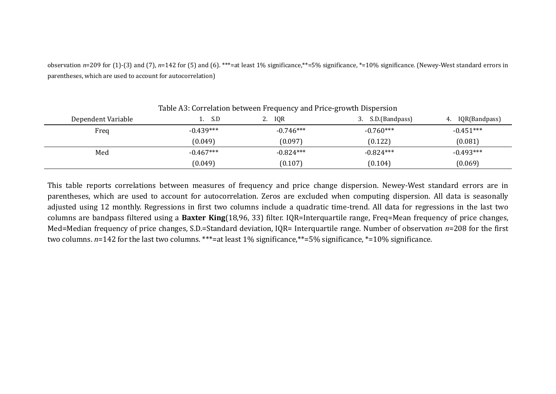observation  $n=209$  for (1)-(3) and (7),  $n=142$  for (5) and (6). \*\*\*=at least 1% significance,\*\*=5% significance, \*=10% significance. (Newey-West standard errors in parentheses, which are used to account for autocorrelation)

| rable not correlation between requestey and rifee growth bioperbion |             |                  |                      |                     |  |  |  |
|---------------------------------------------------------------------|-------------|------------------|----------------------|---------------------|--|--|--|
| Dependent Variable                                                  | S.D         | <b>IQR</b><br>2. | S.D.(Bandpass)<br>J. | IQR(Bandpass)<br>4. |  |  |  |
| Freq                                                                | $-0.439***$ | $-0.746***$      | $-0.760***$          | $-0.451***$         |  |  |  |
|                                                                     | (0.049)     | (0.097)          | (0.122)              | (0.081)             |  |  |  |
| Med                                                                 | $-0.467***$ | $-0.824***$      | $-0.824***$          | $-0.493***$         |  |  |  |
|                                                                     | (0.049)     | (0.107)          | (0.104)              | (0.069)             |  |  |  |

## Table A3: Correlation between Frequency and Price-growth Dispersion

This table reports correlations between measures of frequency and price change dispersion. Newey-West standard errors are in parentheses, which are used to account for autocorrelation. Zeros are excluded when computing dispersion. All data is seasonally adjusted using 12 monthly. Regressions in first two columns include a quadratic time-trend. All data for regressions in the last two columns are bandpass filtered using a **Baxter King**(18,96, 33) filter. IQR=Interquartile range, Freq=Mean frequency of price changes, Med=Median frequency of price changes, S.D.=Standard deviation,  $IQR=$  Interquartile range. Number of observation  $n=208$  for the first two columns.  $n=142$  for the last two columns. \*\*\*=at least 1% significance,\*\*=5% significance, \*=10% significance.